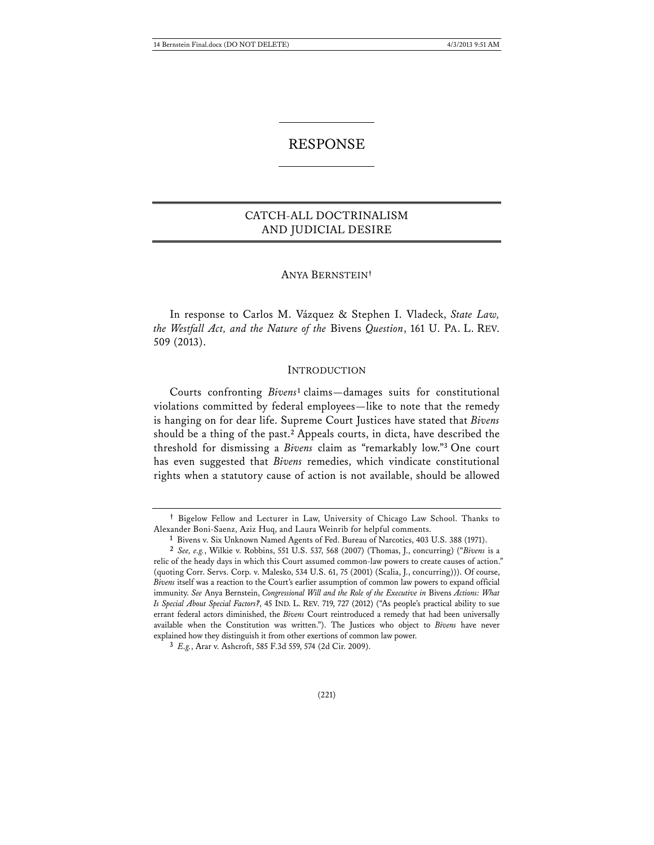# RESPONSE

## CATCH-ALL DOCTRINALISM AND JUDICIAL DESIRE

### ANYA BERNSTEIN**†**

 In response to Carlos M. Vázquez & Stephen I. Vladeck, *State Law, the Westfall Act, and the Nature of the* Bivens *Question*, 161 U. PA. L. REV. 509 (2013).

#### INTRODUCTION

Courts confronting *Bivens***<sup>1</sup>** claims—damages suits for constitutional violations committed by federal employees—like to note that the remedy is hanging on for dear life. Supreme Court Justices have stated that *Bivens* should be a thing of the past.**<sup>2</sup>** Appeals courts, in dicta, have described the threshold for dismissing a *Bivens* claim as "remarkably low."**<sup>3</sup>** One court has even suggested that *Bivens* remedies, which vindicate constitutional rights when a statutory cause of action is not available, should be allowed

**<sup>†</sup>** Bigelow Fellow and Lecturer in Law, University of Chicago Law School. Thanks to Alexander Boni-Saenz, Aziz Huq, and Laura Weinrib for helpful comments.

**<sup>1</sup>** Bivens v. Six Unknown Named Agents of Fed. Bureau of Narcotics, 403 U.S. 388 (1971).

**<sup>2</sup>** *See, e.g.*, Wilkie v. Robbins, 551 U.S. 537, 568 (2007) (Thomas, J., concurring) ("*Bivens* is a relic of the heady days in which this Court assumed common-law powers to create causes of action." (quoting Corr. Servs. Corp. v. Malesko, 534 U.S. 61, 75 (2001) (Scalia, J., concurring))). Of course, *Bivens* itself was a reaction to the Court's earlier assumption of common law powers to expand official immunity. *See* Anya Bernstein, *Congressional Will and the Role of the Executive in* Bivens *Actions: What Is Special About Special Factors?*, 45 IND. L. REV. 719, 727 (2012) ("As people's practical ability to sue errant federal actors diminished, the *Bivens* Court reintroduced a remedy that had been universally available when the Constitution was written."). The Justices who object to *Bivens* have never explained how they distinguish it from other exertions of common law power.

**<sup>3</sup>** *E.g.*, Arar v. Ashcroft, 585 F.3d 559, 574 (2d Cir. 2009).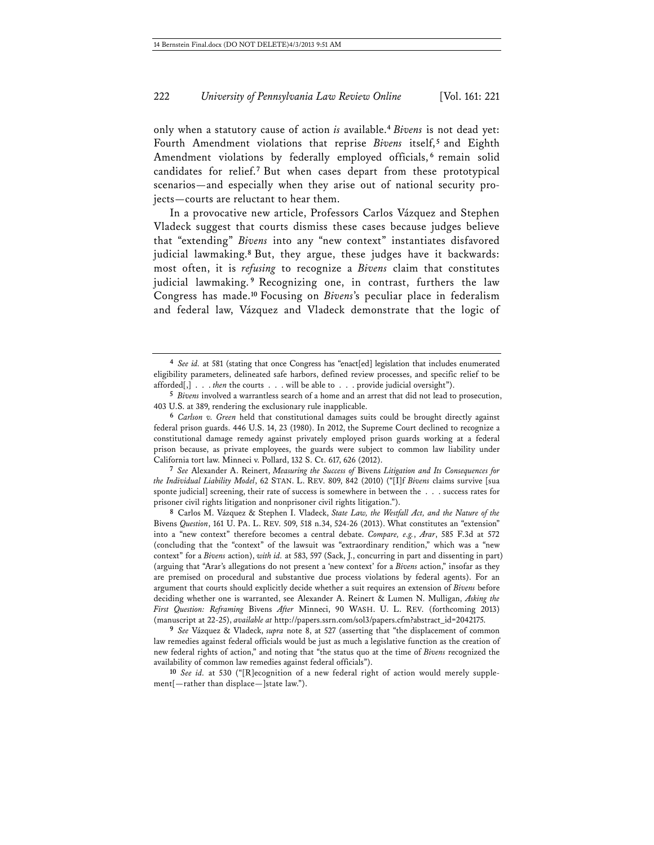only when a statutory cause of action *is* available.**<sup>4</sup>** *Bivens* is not dead yet: Fourth Amendment violations that reprise *Bivens* itself,<sup>5</sup> and Eighth Amendment violations by federally employed officials,<sup>6</sup> remain solid candidates for relief.**<sup>7</sup>** But when cases depart from these prototypical scenarios—and especially when they arise out of national security projects—courts are reluctant to hear them.

In a provocative new article, Professors Carlos Vázquez and Stephen Vladeck suggest that courts dismiss these cases because judges believe that "extending" *Bivens* into any "new context" instantiates disfavored judicial lawmaking.**<sup>8</sup>** But, they argue, these judges have it backwards: most often, it is *refusing* to recognize a *Bivens* claim that constitutes judicial lawmaking. **<sup>9</sup>** Recognizing one, in contrast, furthers the law Congress has made.**<sup>10</sup>** Focusing on *Bivens*'s peculiar place in federalism and federal law, Vázquez and Vladeck demonstrate that the logic of

**7** *See* Alexander A. Reinert, *Measuring the Success of* Bivens *Litigation and Its Consequences for the Individual Liability Model*, 62 STAN. L. REV. 809, 842 (2010) ("[I]f *Bivens* claims survive [sua sponte judicial] screening, their rate of success is somewhere in between the . . . success rates for prisoner civil rights litigation and nonprisoner civil rights litigation.").

**8** Carlos M. Vázquez & Stephen I. Vladeck, *State Law, the Westfall Act, and the Nature of the*  Bivens *Question*, 161 U. PA. L. REV. 509, 518 n.34, 524-26 (2013). What constitutes an "extension" into a "new context" therefore becomes a central debate. *Compare, e.g.*, *Arar*, 585 F.3d at 572 (concluding that the "context" of the lawsuit was "extraordinary rendition," which was a "new context" for a *Bivens* action), *with id.* at 583, 597 (Sack, J., concurring in part and dissenting in part) (arguing that "Arar's allegations do not present a 'new context' for a *Bivens* action," insofar as they are premised on procedural and substantive due process violations by federal agents). For an argument that courts should explicitly decide whether a suit requires an extension of *Bivens* before deciding whether one is warranted, see Alexander A. Reinert & Lumen N. Mulligan, *Asking the First Question: Reframing* Bivens *After* Minneci, 90 WASH. U. L. REV. (forthcoming 2013) (manuscript at 22-25), *available at* http://papers.ssrn.com/sol3/papers.cfm?abstract\_id=2042175.

**9** *See* Vázquez & Vladeck, *supra* note 8, at 527 (asserting that "the displacement of common law remedies against federal officials would be just as much a legislative function as the creation of new federal rights of action," and noting that "the status quo at the time of *Bivens* recognized the availability of common law remedies against federal officials").

**10** *See id.* at 530 ("[R]ecognition of a new federal right of action would merely supplement[—rather than displace—]state law.").

**<sup>4</sup>** *See id.* at 581 (stating that once Congress has "enact[ed] legislation that includes enumerated eligibility parameters, delineated safe harbors, defined review processes, and specific relief to be afforded[,] . . . *then* the courts . . . will be able to . . . provide judicial oversight").

**<sup>5</sup>** *Bivens* involved a warrantless search of a home and an arrest that did not lead to prosecution, 403 U.S. at 389, rendering the exclusionary rule inapplicable.

**<sup>6</sup>** *Carlson v. Green* held that constitutional damages suits could be brought directly against federal prison guards. 446 U.S. 14, 23 (1980). In 2012, the Supreme Court declined to recognize a constitutional damage remedy against privately employed prison guards working at a federal prison because, as private employees, the guards were subject to common law liability under California tort law. Minneci v. Pollard, 132 S. Ct. 617, 626 (2012).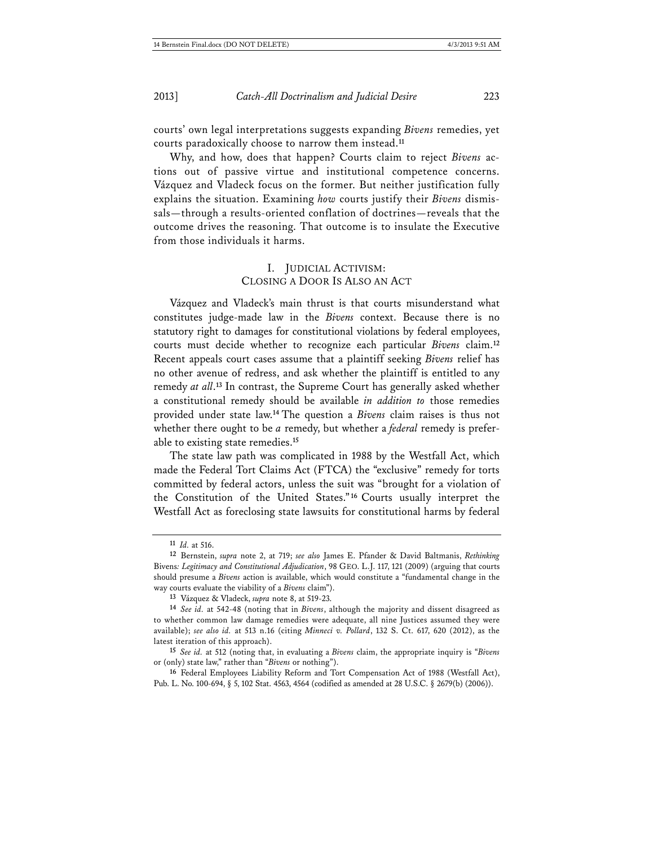courts' own legal interpretations suggests expanding *Bivens* remedies, yet courts paradoxically choose to narrow them instead.**<sup>11</sup>**

Why, and how, does that happen? Courts claim to reject *Bivens* actions out of passive virtue and institutional competence concerns. Vázquez and Vladeck focus on the former. But neither justification fully explains the situation. Examining *how* courts justify their *Bivens* dismissals—through a results-oriented conflation of doctrines—reveals that the outcome drives the reasoning. That outcome is to insulate the Executive from those individuals it harms.

## I. JUDICIAL ACTIVISM: CLOSING A DOOR IS ALSO AN ACT

Vázquez and Vladeck's main thrust is that courts misunderstand what constitutes judge-made law in the *Bivens* context. Because there is no statutory right to damages for constitutional violations by federal employees, courts must decide whether to recognize each particular *Bivens* claim.**<sup>12</sup>** Recent appeals court cases assume that a plaintiff seeking *Bivens* relief has no other avenue of redress, and ask whether the plaintiff is entitled to any remedy *at all*. **<sup>13</sup>** In contrast, the Supreme Court has generally asked whether a constitutional remedy should be available *in addition to* those remedies provided under state law.**<sup>14</sup>** The question a *Bivens* claim raises is thus not whether there ought to be *a* remedy, but whether a *federal* remedy is preferable to existing state remedies.**<sup>15</sup>**

The state law path was complicated in 1988 by the Westfall Act, which made the Federal Tort Claims Act (FTCA) the "exclusive" remedy for torts committed by federal actors, unless the suit was "brought for a violation of the Constitution of the United States."**<sup>16</sup>** Courts usually interpret the Westfall Act as foreclosing state lawsuits for constitutional harms by federal

**<sup>11</sup>** *Id.* at 516.

**<sup>12</sup>** Bernstein, *supra* note 2, at 719; *see also* James E. Pfander & David Baltmanis, *Rethinking*  Bivens*: Legitimacy and Constitutional Adjudication*, 98 GEO. L.J. 117, 121 (2009) (arguing that courts should presume a *Bivens* action is available, which would constitute a "fundamental change in the way courts evaluate the viability of a *Bivens* claim").

**<sup>13</sup>** Vázquez & Vladeck, *supra* note 8, at 519-23.

**<sup>14</sup>** *See id.* at 542-48 (noting that in *Bivens*, although the majority and dissent disagreed as to whether common law damage remedies were adequate, all nine Justices assumed they were available); *see also id.* at 513 n.16 (citing *Minneci v. Pollard*, 132 S. Ct. 617, 620 (2012), as the latest iteration of this approach).

**<sup>15</sup>** *See id.* at 512 (noting that, in evaluating a *Bivens* claim, the appropriate inquiry is "*Bivens* or (only) state law," rather than "*Bivens* or nothing").

**<sup>16</sup>** Federal Employees Liability Reform and Tort Compensation Act of 1988 (Westfall Act), Pub. L. No. 100-694, § 5, 102 Stat. 4563, 4564 (codified as amended at 28 U.S.C. § 2679(b) (2006)).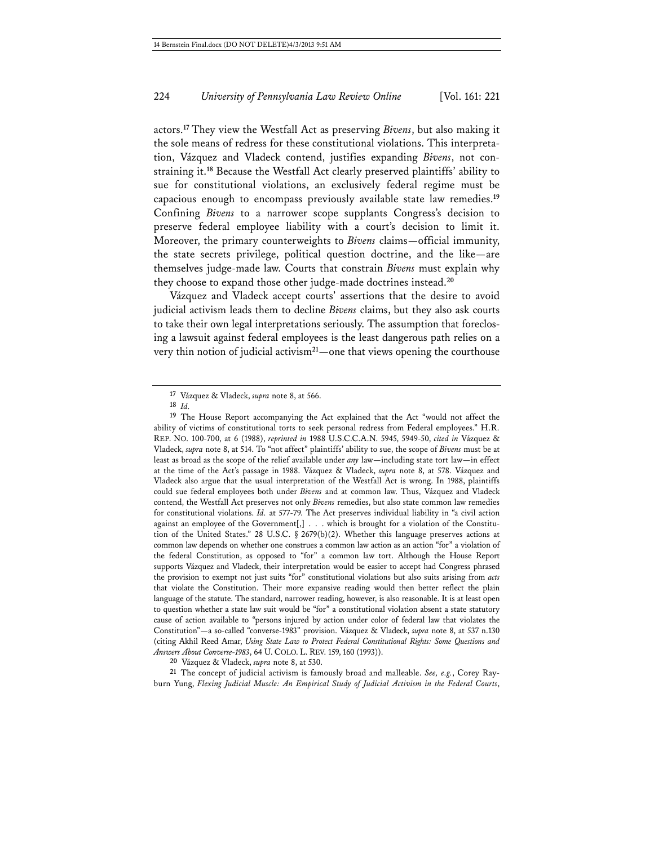actors.**<sup>17</sup>** They view the Westfall Act as preserving *Bivens*, but also making it the sole means of redress for these constitutional violations. This interpretation, Vázquez and Vladeck contend, justifies expanding *Bivens*, not constraining it.**<sup>18</sup>** Because the Westfall Act clearly preserved plaintiffs' ability to sue for constitutional violations, an exclusively federal regime must be capacious enough to encompass previously available state law remedies.**<sup>19</sup>** Confining *Bivens* to a narrower scope supplants Congress's decision to preserve federal employee liability with a court's decision to limit it. Moreover, the primary counterweights to *Bivens* claims—official immunity, the state secrets privilege, political question doctrine, and the like—are themselves judge-made law. Courts that constrain *Bivens* must explain why they choose to expand those other judge-made doctrines instead.**<sup>20</sup>**

Vázquez and Vladeck accept courts' assertions that the desire to avoid judicial activism leads them to decline *Bivens* claims, but they also ask courts to take their own legal interpretations seriously. The assumption that foreclosing a lawsuit against federal employees is the least dangerous path relies on a very thin notion of judicial activism**<sup>21</sup>**—one that views opening the courthouse

**20** Vázquez & Vladeck, *supra* note 8, at 530.

**21** The concept of judicial activism is famously broad and malleable. *See, e.g.*, Corey Rayburn Yung, *Flexing Judicial Muscle: An Empirical Study of Judicial Activism in the Federal Courts*,

**<sup>17</sup>** Vázquez & Vladeck, *supra* note 8, at 566.

**<sup>18</sup>** *Id.*

**<sup>19</sup>** The House Report accompanying the Act explained that the Act "would not affect the ability of victims of constitutional torts to seek personal redress from Federal employees." H.R. REP. NO. 100-700, at 6 (1988), *reprinted in* 1988 U.S.C.C.A.N. 5945, 5949-50, *cited in* Vázquez & Vladeck, *supra* note 8, at 514. To "not affect" plaintiffs' ability to sue, the scope of *Bivens* must be at least as broad as the scope of the relief available under *any* law—including state tort law—in effect at the time of the Act's passage in 1988. Vázquez & Vladeck, *supra* note 8, at 578. Vázquez and Vladeck also argue that the usual interpretation of the Westfall Act is wrong. In 1988, plaintiffs could sue federal employees both under *Bivens* and at common law. Thus, Vázquez and Vladeck contend, the Westfall Act preserves not only *Bivens* remedies, but also state common law remedies for constitutional violations. *Id.* at 577-79. The Act preserves individual liability in "a civil action against an employee of the Government[,] . . . which is brought for a violation of the Constitution of the United States." 28 U.S.C.  $\S$  2679(b)(2). Whether this language preserves actions at common law depends on whether one construes a common law action as an action "for" a violation of the federal Constitution, as opposed to "for" a common law tort. Although the House Report supports Vázquez and Vladeck, their interpretation would be easier to accept had Congress phrased the provision to exempt not just suits "for" constitutional violations but also suits arising from *acts* that violate the Constitution. Their more expansive reading would then better reflect the plain language of the statute. The standard, narrower reading, however, is also reasonable. It is at least open to question whether a state law suit would be "for" a constitutional violation absent a state statutory cause of action available to "persons injured by action under color of federal law that violates the Constitution"—a so-called "converse-1983" provision. Vázquez & Vladeck, *supra* note 8, at 537 n.130 (citing Akhil Reed Amar, *Using State Law to Protect Federal Constitutional Rights: Some Questions and Answers About Converse-1983*, 64 U. COLO. L. REV. 159, 160 (1993)).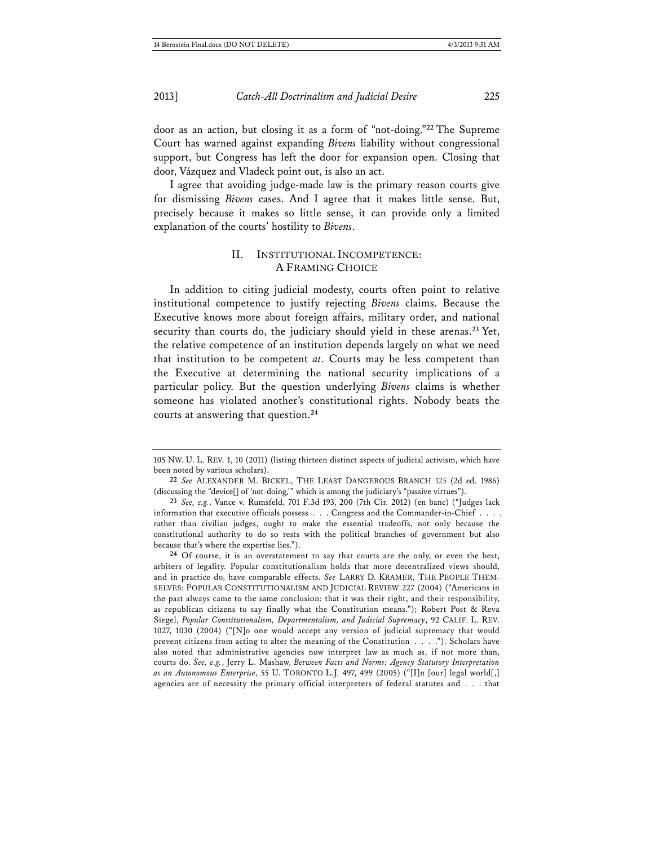door as an action, but closing it as a form of "not-doing."**<sup>22</sup>** The Supreme Court has warned against expanding *Bivens* liability without congressional support, but Congress has left the door for expansion open. Closing that door, Vázquez and Vladeck point out, is also an act.

I agree that avoiding judge-made law is the primary reason courts give for dismissing *Bivens* cases. And I agree that it makes little sense. But, precisely because it makes so little sense, it can provide only a limited explanation of the courts' hostility to *Bivens*.

### II. INSTITUTIONAL INCOMPETENCE: A FRAMING CHOICE

In addition to citing judicial modesty, courts often point to relative institutional competence to justify rejecting *Bivens* claims. Because the Executive knows more about foreign affairs, military order, and national security than courts do, the judiciary should yield in these arenas.**<sup>23</sup>** Yet, the relative competence of an institution depends largely on what we need that institution to be competent *at*. Courts may be less competent than the Executive at determining the national security implications of a particular policy. But the question underlying *Bivens* claims is whether someone has violated another's constitutional rights. Nobody beats the courts at answering that question.**<sup>24</sup>**

**24** Of course, it is an overstatement to say that courts are the only, or even the best, arbiters of legality. Popular constitutionalism holds that more decentralized views should, and in practice do, have comparable effects. *See* LARRY D. KRAMER, THE PEOPLE THEM-SELVES: POPULAR CONSTITUTIONALISM AND JUDICIAL REVIEW 227 (2004) ("Americans in the past always came to the same conclusion: that it was their right, and their responsibility, as republican citizens to say finally what the Constitution means."); Robert Post & Reva Siegel, *Popular Constitutionalism, Departmentalism, and Judicial Supremacy*, 92 CALIF. L. REV. 1027, 1030 (2004) ("[N]o one would accept any version of judicial supremacy that would prevent citizens from acting to alter the meaning of the Constitution . . . ."). Scholars have also noted that administrative agencies now interpret law as much as, if not more than, courts do. *See, e.g.*, Jerry L. Mashaw, *Between Facts and Norms: Agency Statutory Interpretation as an Autonomous Enterprise*, 55 U. TORONTO L.J. 497, 499 (2005) ("[I]n [our] legal world[,] agencies are of necessity the primary official interpreters of federal statutes and . . . that

<sup>105</sup> NW. U. L. REV. 1, 10 (2011) (listing thirteen distinct aspects of judicial activism, which have been noted by various scholars).

**<sup>22</sup>** *See* ALEXANDER M. BICKEL, THE LEAST DANGEROUS BRANCH 125 (2d ed. 1986) (discussing the "device[] of 'not-doing,'" which is among the judiciary's "passive virtues").

**<sup>23</sup>** *See, e.g.*, Vance v. Rumsfeld, 701 F.3d 193, 200 (7th Cir. 2012) (en banc) ("Judges lack information that executive officials possess . . . Congress and the Commander-in-Chief . . . , rather than civilian judges, ought to make the essential tradeoffs, not only because the constitutional authority to do so rests with the political branches of government but also because that's where the expertise lies.").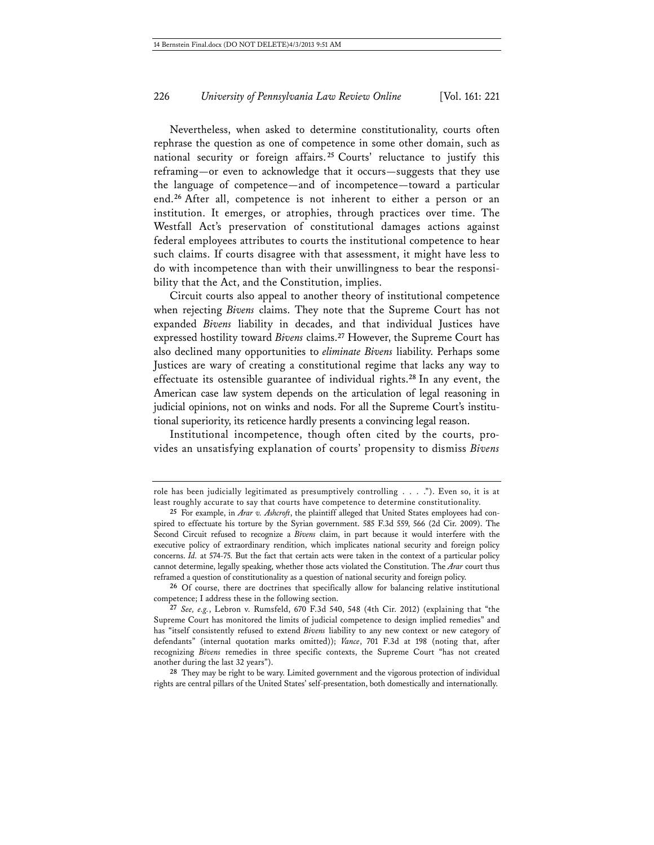Nevertheless, when asked to determine constitutionality, courts often rephrase the question as one of competence in some other domain, such as national security or foreign affairs. **<sup>25</sup>** Courts' reluctance to justify this reframing—or even to acknowledge that it occurs—suggests that they use the language of competence—and of incompetence—toward a particular end.**<sup>26</sup>** After all, competence is not inherent to either a person or an institution. It emerges, or atrophies, through practices over time. The Westfall Act's preservation of constitutional damages actions against federal employees attributes to courts the institutional competence to hear such claims. If courts disagree with that assessment, it might have less to do with incompetence than with their unwillingness to bear the responsibility that the Act, and the Constitution, implies.

Circuit courts also appeal to another theory of institutional competence when rejecting *Bivens* claims. They note that the Supreme Court has not expanded *Bivens* liability in decades, and that individual Justices have expressed hostility toward *Bivens* claims.**<sup>27</sup>** However, the Supreme Court has also declined many opportunities to *eliminate Bivens* liability. Perhaps some Justices are wary of creating a constitutional regime that lacks any way to effectuate its ostensible guarantee of individual rights.**<sup>28</sup>** In any event, the American case law system depends on the articulation of legal reasoning in judicial opinions, not on winks and nods. For all the Supreme Court's institutional superiority, its reticence hardly presents a convincing legal reason.

Institutional incompetence, though often cited by the courts, provides an unsatisfying explanation of courts' propensity to dismiss *Bivens*

role has been judicially legitimated as presumptively controlling . . . ."). Even so, it is at least roughly accurate to say that courts have competence to determine constitutionality.

**<sup>25</sup>** For example, in *Arar v. Ashcroft*, the plaintiff alleged that United States employees had conspired to effectuate his torture by the Syrian government. 585 F.3d 559, 566 (2d Cir. 2009). The Second Circuit refused to recognize a *Bivens* claim, in part because it would interfere with the executive policy of extraordinary rendition, which implicates national security and foreign policy concerns. *Id.* at 574-75. But the fact that certain acts were taken in the context of a particular policy cannot determine, legally speaking, whether those acts violated the Constitution. The *Arar* court thus reframed a question of constitutionality as a question of national security and foreign policy.

**<sup>26</sup>** Of course, there are doctrines that specifically allow for balancing relative institutional competence; I address these in the following section.

**<sup>27</sup>** *See, e.g.*, Lebron v. Rumsfeld, 670 F.3d 540, 548 (4th Cir. 2012) (explaining that "the Supreme Court has monitored the limits of judicial competence to design implied remedies" and has "itself consistently refused to extend *Bivens* liability to any new context or new category of defendants" (internal quotation marks omitted)); *Vance*, 701 F.3d at 198 (noting that, after recognizing *Bivens* remedies in three specific contexts, the Supreme Court "has not created another during the last 32 years").

**<sup>28</sup>** They may be right to be wary. Limited government and the vigorous protection of individual rights are central pillars of the United States' self-presentation, both domestically and internationally.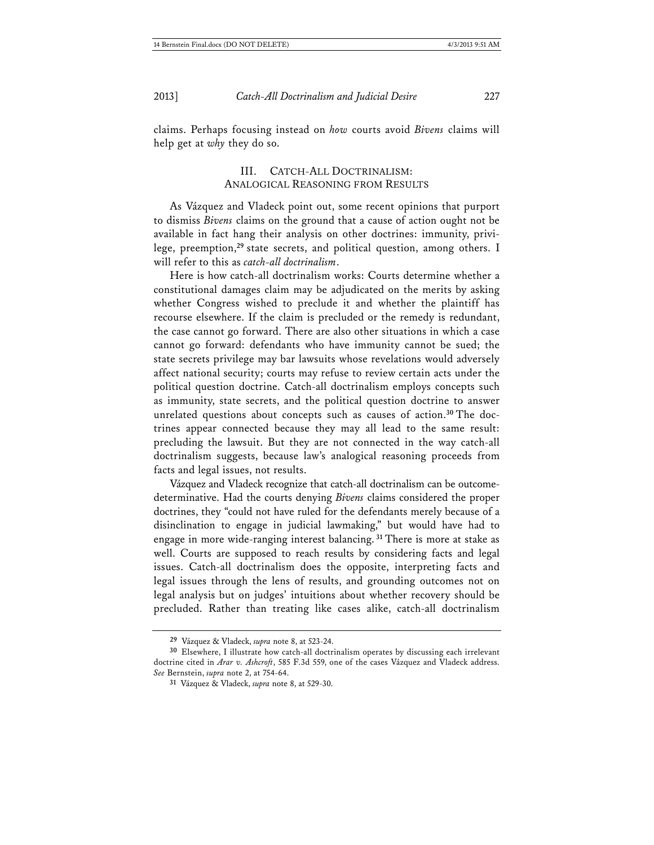claims. Perhaps focusing instead on *how* courts avoid *Bivens* claims will help get at *why* they do so.

#### III. CATCH-ALL DOCTRINALISM: ANALOGICAL REASONING FROM RESULTS

As Vázquez and Vladeck point out, some recent opinions that purport to dismiss *Bivens* claims on the ground that a cause of action ought not be available in fact hang their analysis on other doctrines: immunity, privilege, preemption,**<sup>29</sup>** state secrets, and political question, among others. I will refer to this as *catch-all doctrinalism*.

Here is how catch-all doctrinalism works: Courts determine whether a constitutional damages claim may be adjudicated on the merits by asking whether Congress wished to preclude it and whether the plaintiff has recourse elsewhere. If the claim is precluded or the remedy is redundant, the case cannot go forward. There are also other situations in which a case cannot go forward: defendants who have immunity cannot be sued; the state secrets privilege may bar lawsuits whose revelations would adversely affect national security; courts may refuse to review certain acts under the political question doctrine. Catch-all doctrinalism employs concepts such as immunity, state secrets, and the political question doctrine to answer unrelated questions about concepts such as causes of action.**30** The doctrines appear connected because they may all lead to the same result: precluding the lawsuit. But they are not connected in the way catch-all doctrinalism suggests, because law's analogical reasoning proceeds from facts and legal issues, not results.

Vázquez and Vladeck recognize that catch-all doctrinalism can be outcomedeterminative. Had the courts denying *Bivens* claims considered the proper doctrines, they "could not have ruled for the defendants merely because of a disinclination to engage in judicial lawmaking," but would have had to engage in more wide-ranging interest balancing.**<sup>31</sup>** There is more at stake as well. Courts are supposed to reach results by considering facts and legal issues. Catch-all doctrinalism does the opposite, interpreting facts and legal issues through the lens of results, and grounding outcomes not on legal analysis but on judges' intuitions about whether recovery should be precluded. Rather than treating like cases alike, catch-all doctrinalism

**<sup>29</sup>** Vázquez & Vladeck, *supra* note 8, at 523-24.

**<sup>30</sup>** Elsewhere, I illustrate how catch-all doctrinalism operates by discussing each irrelevant doctrine cited in *Arar v. Ashcroft*, 585 F.3d 559, one of the cases Vázquez and Vladeck address. *See* Bernstein, *supra* note 2, at 754-64.

**<sup>31</sup>** Vázquez & Vladeck, *supra* note 8, at 529-30.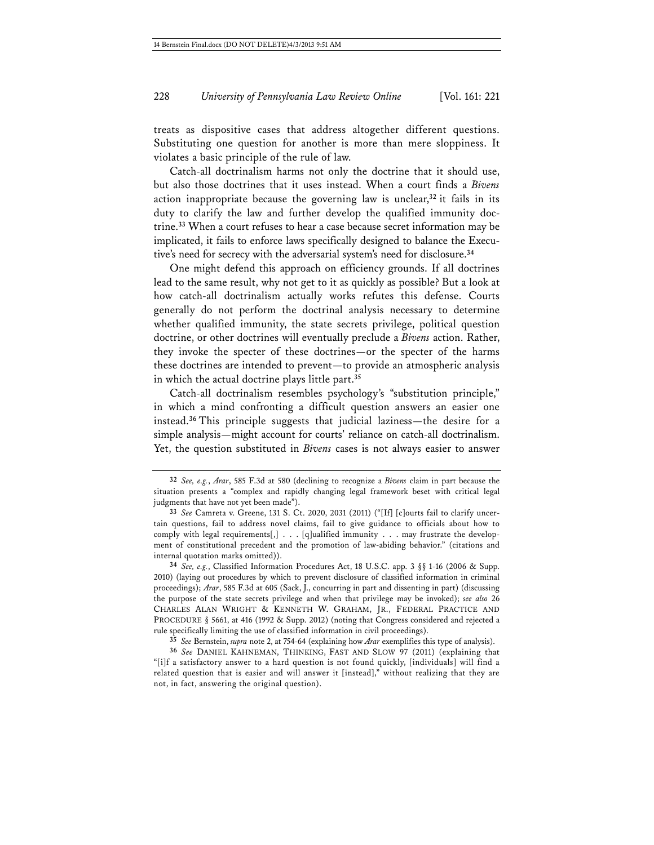treats as dispositive cases that address altogether different questions. Substituting one question for another is more than mere sloppiness. It violates a basic principle of the rule of law.

Catch-all doctrinalism harms not only the doctrine that it should use, but also those doctrines that it uses instead. When a court finds a *Bivens* action inappropriate because the governing law is unclear,**<sup>32</sup>** it fails in its duty to clarify the law and further develop the qualified immunity doctrine.**<sup>33</sup>** When a court refuses to hear a case because secret information may be implicated, it fails to enforce laws specifically designed to balance the Executive's need for secrecy with the adversarial system's need for disclosure.**<sup>34</sup>**

One might defend this approach on efficiency grounds. If all doctrines lead to the same result, why not get to it as quickly as possible? But a look at how catch-all doctrinalism actually works refutes this defense. Courts generally do not perform the doctrinal analysis necessary to determine whether qualified immunity, the state secrets privilege, political question doctrine, or other doctrines will eventually preclude a *Bivens* action. Rather, they invoke the specter of these doctrines—or the specter of the harms these doctrines are intended to prevent—to provide an atmospheric analysis in which the actual doctrine plays little part.**<sup>35</sup>**

Catch-all doctrinalism resembles psychology's "substitution principle," in which a mind confronting a difficult question answers an easier one instead.**<sup>36</sup>** This principle suggests that judicial laziness—the desire for a simple analysis—might account for courts' reliance on catch-all doctrinalism. Yet, the question substituted in *Bivens* cases is not always easier to answer

**34** *See, e.g.*, Classified Information Procedures Act, 18 U.S.C. app. 3 §§ 1-16 (2006 & Supp. 2010) (laying out procedures by which to prevent disclosure of classified information in criminal proceedings); *Arar*, 585 F.3d at 605 (Sack, J., concurring in part and dissenting in part) (discussing the purpose of the state secrets privilege and when that privilege may be invoked); *see also* 26 CHARLES ALAN WRIGHT & KENNETH W. GRAHAM, JR., FEDERAL PRACTICE AND PROCEDURE § 5661, at 416 (1992 & Supp. 2012) (noting that Congress considered and rejected a rule specifically limiting the use of classified information in civil proceedings).

**<sup>32</sup>** *See, e.g.*, *Arar*, 585 F.3d at 580 (declining to recognize a *Bivens* claim in part because the situation presents a "complex and rapidly changing legal framework beset with critical legal judgments that have not yet been made").

**<sup>33</sup>** *See* Camreta v. Greene, 131 S. Ct. 2020, 2031 (2011) ("[If] [c]ourts fail to clarify uncertain questions, fail to address novel claims, fail to give guidance to officials about how to comply with legal requirements[,]  $\ldots$  [q]ualified immunity . . . may frustrate the development of constitutional precedent and the promotion of law-abiding behavior." (citations and internal quotation marks omitted)).

**<sup>35</sup>** *See* Bernstein, *supra* note 2, at 754-64 (explaining how *Arar* exemplifies this type of analysis).

**<sup>36</sup>** *See* DANIEL KAHNEMAN, THINKING, FAST AND SLOW 97 (2011) (explaining that "[i]f a satisfactory answer to a hard question is not found quickly, [individuals] will find a related question that is easier and will answer it [instead]," without realizing that they are not, in fact, answering the original question).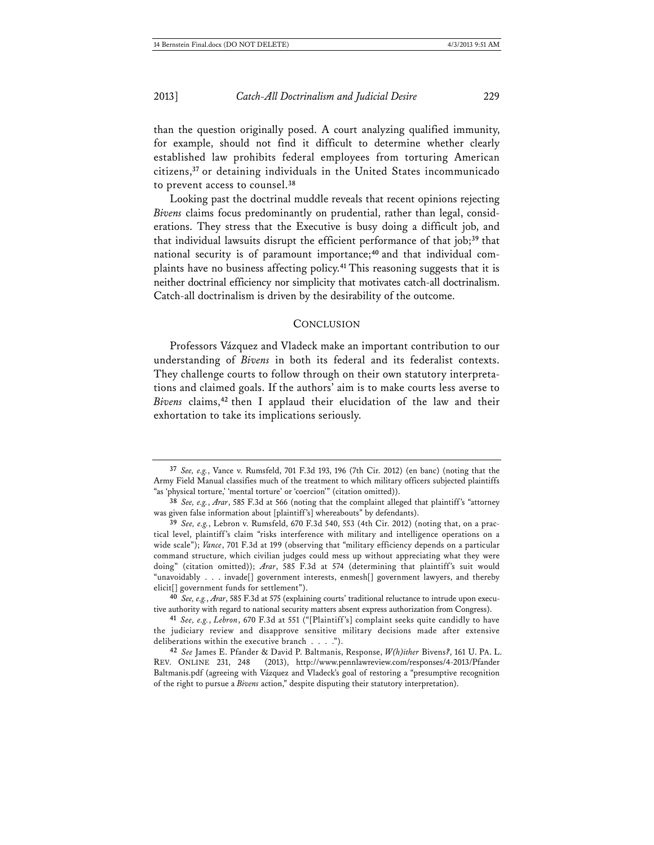than the question originally posed. A court analyzing qualified immunity, for example, should not find it difficult to determine whether clearly established law prohibits federal employees from torturing American citizens,**<sup>37</sup>** or detaining individuals in the United States incommunicado to prevent access to counsel.**<sup>38</sup>**

Looking past the doctrinal muddle reveals that recent opinions rejecting *Bivens* claims focus predominantly on prudential, rather than legal, considerations. They stress that the Executive is busy doing a difficult job, and that individual lawsuits disrupt the efficient performance of that job;**<sup>39</sup>** that national security is of paramount importance;**40** and that individual complaints have no business affecting policy.**<sup>41</sup>** This reasoning suggests that it is neither doctrinal efficiency nor simplicity that motivates catch-all doctrinalism. Catch-all doctrinalism is driven by the desirability of the outcome.

#### **CONCLUSION**

Professors Vázquez and Vladeck make an important contribution to our understanding of *Bivens* in both its federal and its federalist contexts. They challenge courts to follow through on their own statutory interpretations and claimed goals. If the authors' aim is to make courts less averse to *Bivens* claims,**<sup>42</sup>** then I applaud their elucidation of the law and their exhortation to take its implications seriously.

**<sup>37</sup>** *See, e.g.*, Vance v. Rumsfeld, 701 F.3d 193, 196 (7th Cir. 2012) (en banc) (noting that the Army Field Manual classifies much of the treatment to which military officers subjected plaintiffs "as 'physical torture,' 'mental torture' or 'coercion'" (citation omitted)).

**<sup>38</sup>** *See, e.g.*, *Arar*, 585 F.3d at 566 (noting that the complaint alleged that plaintiff's "attorney was given false information about [plaintiff's] whereabouts" by defendants).

**<sup>39</sup>** *See, e.g.*, Lebron v. Rumsfeld, 670 F.3d 540, 553 (4th Cir. 2012) (noting that, on a practical level, plaintiff's claim "risks interference with military and intelligence operations on a wide scale"); *Vance*, 701 F.3d at 199 (observing that "military efficiency depends on a particular command structure, which civilian judges could mess up without appreciating what they were doing" (citation omitted)); *Arar*, 585 F.3d at 574 (determining that plaintiff's suit would "unavoidably . . . invade[] government interests, enmesh[] government lawyers, and thereby elicit<sup>[]</sup> government funds for settlement").

**<sup>40</sup>** *See, e.g.*, *Arar*, 585 F.3d at 575 (explaining courts' traditional reluctance to intrude upon executive authority with regard to national security matters absent express authorization from Congress).

**<sup>41</sup>** *See, e.g.*, *Lebron*, 670 F.3d at 551 ("[Plaintiff's] complaint seeks quite candidly to have the judiciary review and disapprove sensitive military decisions made after extensive deliberations within the executive branch . . . .").

**<sup>42</sup>** *See* James E. Pfander & David P. Baltmanis, Response, *W(h)ither* Bivens*?*, 161 U. PA. L. REV. ONLINE 231, 248 (2013), http://www.pennlawreview.com/responses/4-2013/Pfander Baltmanis.pdf (agreeing with Vázquez and Vladeck's goal of restoring a "presumptive recognition of the right to pursue a *Bivens* action," despite disputing their statutory interpretation).